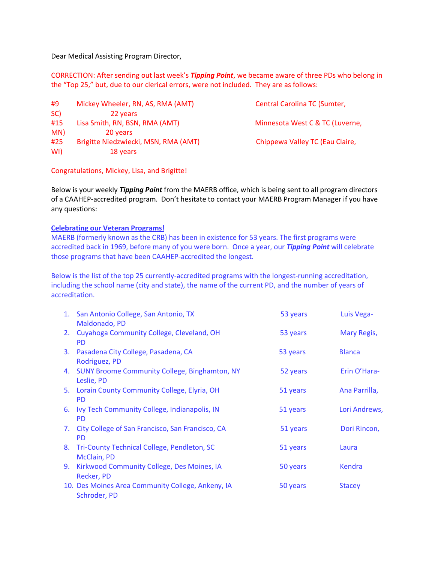Dear Medical Assisting Program Director,

CORRECTION: After sending out last week's *Tipping Point*, we became aware of three PDs who belong in the "Top 25," but, due to our clerical errors, were not included. They are as follows:

#9 Mickey Wheeler, RN, AS, RMA (AMT) Central Carolina TC (Sumter, SC) 22 years #15 Lisa Smith, RN, BSN, RMA (AMT) Minnesota West C & TC (Luverne, MN) 20 years #25 Brigitte Niedzwiecki, MSN, RMA (AMT) Chippewa Valley TC (Eau Claire, WI) 18 years

Congratulations, Mickey, Lisa, and Brigitte!

Below is your weekly *Tipping Point* from the MAERB office, which is being sent to all program directors of a CAAHEP-accredited program. Don't hesitate to contact your MAERB Program Manager if you have any questions:

## **Celebrating our Veteran Programs!**

MAERB (formerly known as the CRB) has been in existence for 53 years. The first programs were accredited back in 1969, before many of you were born. Once a year, our *Tipping Point* will celebrate those programs that have been CAAHEP-accredited the longest.

Below is the list of the top 25 currently-accredited programs with the longest-running accreditation, including the school name (city and state), the name of the current PD, and the number of years of accreditation.

|    | 1. San Antonio College, San Antonio, TX<br>Maldonado, PD          | 53 years | Luis Vega-         |
|----|-------------------------------------------------------------------|----------|--------------------|
|    | 2. Cuyahoga Community College, Cleveland, OH<br><b>PD</b>         | 53 years | <b>Mary Regis,</b> |
| 3. | Pasadena City College, Pasadena, CA<br>Rodriguez, PD              | 53 years | <b>Blanca</b>      |
|    | 4. SUNY Broome Community College, Binghamton, NY<br>Leslie, PD    | 52 years | Erin O'Hara-       |
|    | 5. Lorain County Community College, Elyria, OH<br><b>PD</b>       | 51 years | Ana Parrilla,      |
| 6. | Ivy Tech Community College, Indianapolis, IN<br><b>PD</b>         | 51 years | Lori Andrews,      |
| 7. | City College of San Francisco, San Francisco, CA<br><b>PD</b>     | 51 years | Dori Rincon,       |
|    | 8. Tri-County Technical College, Pendleton, SC<br>McClain, PD     | 51 years | Laura              |
| 9. | Kirkwood Community College, Des Moines, IA<br>Recker, PD          | 50 years | Kendra             |
|    | 10. Des Moines Area Community College, Ankeny, IA<br>Schroder, PD | 50 years | <b>Stacey</b>      |